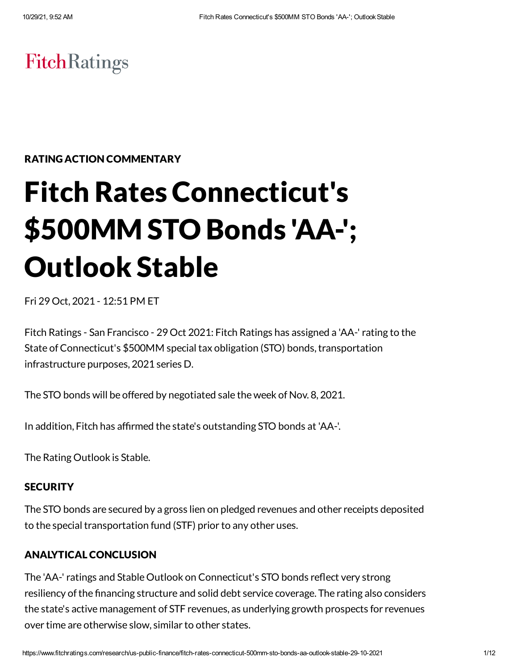# **FitchRatings**

# RATING ACTION COMMENTARY

# Fitch Rates Connecticut's \$500MM STO Bonds 'AA-'; Outlook Stable

Fri 29 Oct, 2021 - 12:51 PM ET

Fitch Ratings - San Francisco - 29 Oct 2021: Fitch Ratings has assigned a 'AA-' rating to the State of Connecticut's \$500MM special tax obligation (STO) bonds, transportation infrastructure purposes, 2021 series D.

The STO bonds will be offered by negotiated sale the week of Nov. 8, 2021.

In addition, Fitch has affirmed the state's outstanding STO bonds at 'AA-'.

The Rating Outlook is Stable.

# **SECURITY**

The STO bonds are secured by a gross lien on pledged revenues and other receipts deposited to the special transportation fund (STF) prior to any other uses.

# ANALYTICAL CONCLUSION

The 'AA-' ratings and Stable Outlook on Connecticut's STO bonds reflect very strong resiliency of the financing structure and solid debt service coverage. The rating also considers the state's active management of STF revenues, as underlying growth prospects for revenues over time are otherwise slow, similar to other states.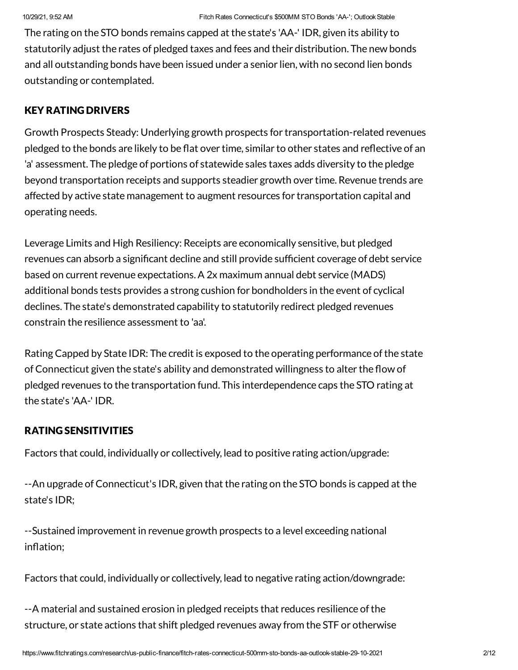The rating on the STO bonds remains capped at the state's 'AA-' IDR, given its ability to statutorily adjust the rates of pledged taxes and fees and their distribution. The new bonds and all outstanding bonds have been issued under a senior lien, with no second lien bonds outstanding or contemplated.

#### KEY RATING DRIVERS

Growth Prospects Steady: Underlying growth prospects for transportation-related revenues pledged to the bonds are likely to be flat over time, similar to other states and reflective of an 'a' assessment. The pledge of portions of statewide sales taxes adds diversity to the pledge beyond transportation receipts and supports steadier growth over time. Revenue trends are affected by active state management to augment resources for transportation capital and operating needs.

Leverage Limits and High Resiliency: Receipts are economically sensitive, but pledged revenues can absorb a significant decline and still provide sufficient coverage of debt service based on current revenue expectations.A 2x maximum annual debt service (MADS) additional bonds tests provides a strong cushion for bondholders in the event of cyclical declines. The state's demonstrated capability to statutorily redirect pledged revenues constrain the resilience assessment to 'aa'.

Rating Capped by State IDR: The credit is exposed to the operating performance of the state ofConnecticut given the state's ability and demonstrated willingness to alter the flow of pledged revenues to the transportation fund. This interdependence caps the STO rating at the state's 'AA-' IDR.

#### RATING SENSITIVITIES

Factors that could, individually or collectively, lead to positive rating action/upgrade:

--An upgrade ofConnecticut's IDR, given that the rating on the STO bonds is capped at the state's IDR;

--Sustained improvement in revenue growth prospects to a level exceeding national inflation;

Factors that could, individually or collectively, lead to negative rating action/downgrade:

--A material and sustained erosion in pledged receipts that reduces resilience of the structure, or state actions that shift pledged revenues away from the STF or otherwise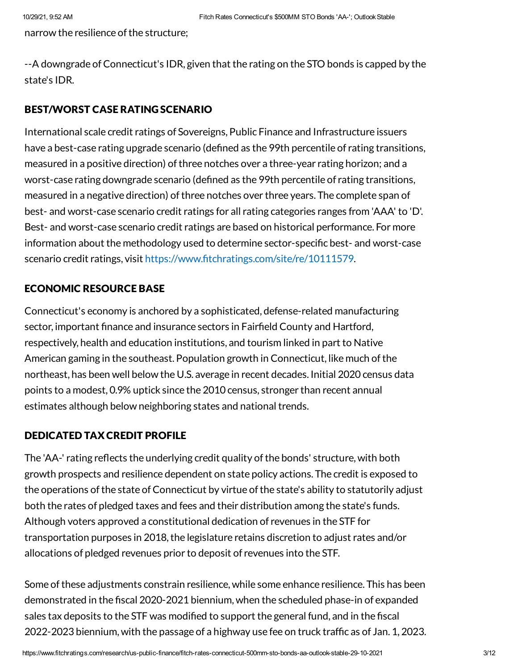narrow the resilience of the structure;

--A downgrade ofConnecticut's IDR, given that the rating on the STO bonds is capped by the state's IDR.

#### BEST/WORST CASE RATING SCENARIO

International scale credit ratings of Sovereigns, Public Finance and Infrastructure issuers have a best-case rating upgrade scenario (defined as the 99th percentile of rating transitions, measured in a positive direction) of three notches over a three-year rating horizon; and a worst-case rating downgrade scenario (defined as the 99th percentile of rating transitions, measured in a negative direction) of three notches over three years. The complete span of best- and worst-case scenario credit ratings for all rating categories ranges from 'AAA' to 'D'. Best- and worst-case scenario credit ratings are based on historical performance. For more information about the methodology used to determine sector-specific best- and worst-case scenario credit ratings, visit <https://www.fitchratings.com/site/re/10111579>.

#### ECONOMIC RESOURCE BASE

Connecticut's economy is anchored by a sophisticated, defense-related manufacturing sector, important finance and insurance sectors in Fairfield County and Hartford, respectively, health and education institutions, and tourism linked in part to Native American gaming in the southeast. Population growth in Connecticut, like much of the northeast, has been well below the U.S. average in recent decades. Initial 2020 census data points to a modest, 0.9% uptick since the 2010 census, stronger than recent annual estimates although below neighboring states and national trends.

#### DEDICATED TAX CREDIT PROFILE

The 'AA-' rating reflects the underlying credit quality of the bonds' structure, with both growth prospects and resilience dependent on state policy actions. The credit is exposed to the operations of the state of Connecticut by virtue of the state's ability to statutorily adjust both the rates of pledged taxes and fees and their distribution among the state's funds. Although voters approved a constitutional dedication of revenues in the STF for transportation purposes in 2018, the legislature retains discretion to adjust rates and/or allocations of pledged revenues prior to deposit of revenues into the STF.

Some of these adjustments constrain resilience, while some enhance resilience. This has been demonstrated in the fiscal 2020-2021 biennium, when the scheduled phase-in of expanded sales tax deposits to the STF was modified to support the general fund, and in the fiscal 2022-2023 biennium, with the passage of a highway use fee on truck traffic as of Jan. 1, 2023.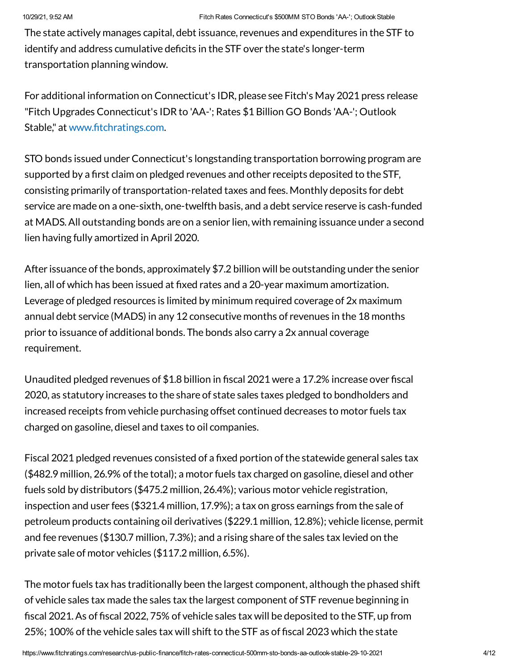The state actively manages capital, debt issuance, revenues and expenditures in the STF to identify and address cumulative deficits in the STF over the state's longer-term transportation planning window.

For additional information on Connecticut's IDR, please see Fitch's May 2021 press release "Fitch Upgrades Connecticut's IDR to 'AA-'; Rates \$1 Billion GO Bonds 'AA-'; Outlook Stable," at [www.fitchratings.com](http://www.fitchratings.com/).

STO bonds issued under Connecticut's longstanding transportation borrowing program are supported by a first claim on pledged revenues and other receipts deposited to the STF, consisting primarily of transportation-related taxes and fees. Monthly deposits for debt service are made on a one-sixth, one-twelfth basis, and a debt service reserve is cash-funded at MADS.All outstanding bonds are on a senior lien, with remaining issuance under a second lien having fully amortized in April 2020.

After issuance of the bonds, approximately \$7.2 billion will be outstanding under the senior lien, all of which has been issued at fixed rates and a 20-year maximum amortization. Leverage of pledged resources is limited by minimum required coverage of 2x maximum annual debt service (MADS) in any 12 consecutive months of revenues in the 18 months prior to issuance of additional bonds. The bonds also carry a 2x annual coverage requirement.

Unaudited pledged revenues of \$1.8 billion in fiscal 2021 were a 17.2% increase over fiscal 2020, as statutory increases to the share of state sales taxes pledged to bondholders and increased receipts from vehicle purchasing offset continued decreases to motor fuels tax charged on gasoline, diesel and taxes to oil companies.

Fiscal 2021 pledged revenues consisted of a fixed portion of the statewide general sales tax (\$482.9 million, 26.9% of the total); a motor fuels tax charged on gasoline, diesel and other fuels sold by distributors (\$475.2 million, 26.4%); various motor vehicle registration, inspection and user fees (\$321.4 million, 17.9%); a tax on gross earnings from the sale of petroleum products containing oil derivatives (\$229.1 million, 12.8%); vehicle license, permit and fee revenues (\$130.7 million, 7.3%); and a rising share ofthe sales tax levied on the private sale of motor vehicles (\$117.2 million, 6.5%).

The motor fuels tax has traditionally been the largest component, although the phased shift of vehicle sales tax made the sales tax the largest component of STF revenue beginning in fiscal 2021.As of fiscal 2022, 75% of vehicle sales tax will be deposited to the STF, up from 25%; 100% of the vehicle sales tax will shift to the STF as of fiscal 2023 which the state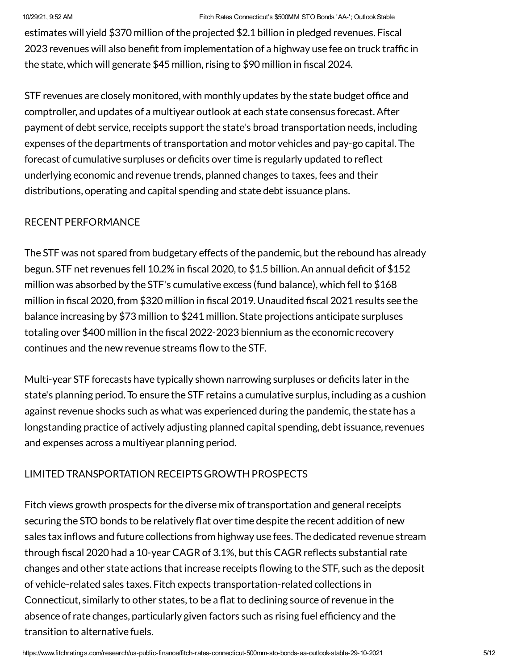estimates will yield \$370 million of the projected \$2.1 billion in pledged revenues. Fiscal 2023 revenues will also benefit from implementation of a highway use fee on truck traffic in the state, which will generate \$45 million, rising to \$90 million in fiscal 2024.

STF revenues are closely monitored, with monthly updates by the state budget office and comptroller, and updates of a multiyear outlook at each state consensus forecast.After payment of debt service, receipts support the state's broad transportation needs, including expenses of the departments of transportation and motor vehicles and pay-go capital. The forecast of cumulative surpluses or deficits over time is regularly updated to reflect underlying economic and revenue trends, planned changes to taxes,fees and their distributions, operating and capital spending and state debt issuance plans.

# RECENT PERFORMANCE

The STF was not spared from budgetary effects of the pandemic, but the rebound has already begun. STF net revenues fell 10.2% in fiscal 2020,to \$1.5 billion.An annual deficit of \$152 million was absorbed by the STF's cumulative excess (fund balance), which fell to  $$168$ million in fiscal 2020, from \$320 million in fiscal 2019. Unaudited fiscal 2021 results see the balance increasing by \$73 million to \$241 million. State projections anticipate surpluses totaling over \$400 million in the fiscal 2022-2023 biennium as the economic recovery continues and the new revenue streams flow to the STF.

Multi-year STF forecasts have typically shown narrowing surpluses or deficits later in the state's planning period. To ensure the STF retains a cumulative surplus, including as a cushion against revenue shocks such as what was experienced during the pandemic, the state has a longstanding practice of actively adjusting planned capital spending, debt issuance, revenues and expenses across a multiyear planning period.

# LIMITED TRANSPORTATION RECEIPTS GROWTH PROSPECTS

Fitch views growth prospects for the diverse mix of transportation and general receipts securing the STO bonds to be relatively flat over time despite the recent addition of new sales tax inflows and future collections from highway use fees. The dedicated revenue stream through fiscal 2020 had a 10-year CAGR of 3.1%, but this CAGR reflects substantial rate changes and other state actions that increase receipts flowing to the STF, such as the deposit of vehicle-related sales taxes. Fitch expects transportation-related collections in Connecticut, similarly to other states, to be a flat to declining source of revenue in the absence of rate changes, particularly given factors such as rising fuel efficiency and the transition to alternative fuels.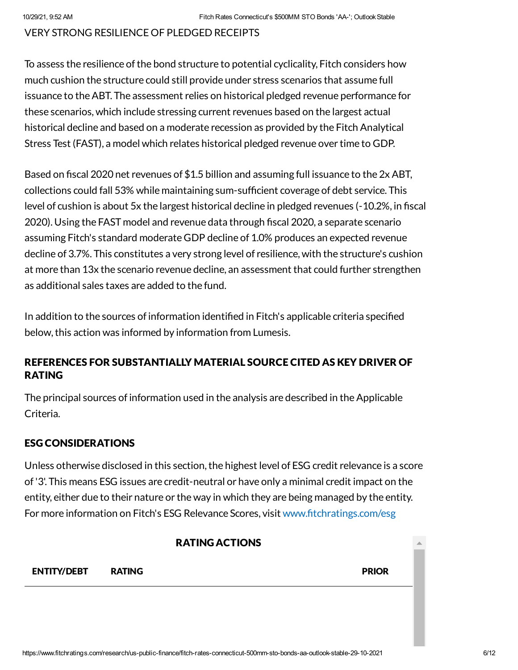# VERY STRONG RESILIENCE OF PLEDGED RECEIPTS

To assess the resilience of the bond structure to potential cyclicality, Fitch considers how much cushion the structure could still provide under stress scenarios that assume full issuance to the ABT. The assessment relies on historical pledged revenue performance for these scenarios, which include stressing current revenues based on the largest actual historical decline and based on a moderate recession as provided by the Fitch Analytical Stress Test (FAST), a model which relates historical pledged revenue over time to GDP.

Based on fiscal 2020 net revenues of \$1.5 billion and assuming full issuance to the 2x ABT, collections could fall 53% while maintaining sum-sufficient coverage of debt service. This level of cushion is about 5x the largest historical decline in pledged revenues (-10.2%, in fiscal 2020). Using the FAST model and revenue data through fiscal 2020, a separate scenario assuming Fitch's standard moderate GDP decline of 1.0% produces an expected revenue decline of 3.7%. This constitutes a very strong level of resilience, with the structure's cushion at more than 13x the scenario revenue decline, an assessment that could further strengthen as additional sales taxes are added to the fund.

In addition to the sources of information identified in Fitch's applicable criteria specified below, this action was informed by information from Lumesis.

# REFERENCES FOR SUBSTANTIALLY MATERIAL SOURCE CITED AS KEY DRIVER OF RATING

The principal sources of information used in the analysis are described in the Applicable Criteria.

#### ESG CONSIDERATIONS

Unless otherwise disclosed in this section, the highest level of ESG credit relevance is a score of'3'. This means ESG issues are credit-neutral or have only a minimal credit impact on the entity, either due to their nature or the way in which they are being managed by the entity. For more information on Fitch's ESG Relevance Scores, visit [www.fitchratings.com/esg](http://www.fitchratings.com/esg)

|                    |               | <b>RATING ACTIONS</b> |              |  |
|--------------------|---------------|-----------------------|--------------|--|
| <b>ENTITY/DEBT</b> | <b>RATING</b> |                       | <b>PRIOR</b> |  |
|                    |               |                       |              |  |
|                    |               |                       |              |  |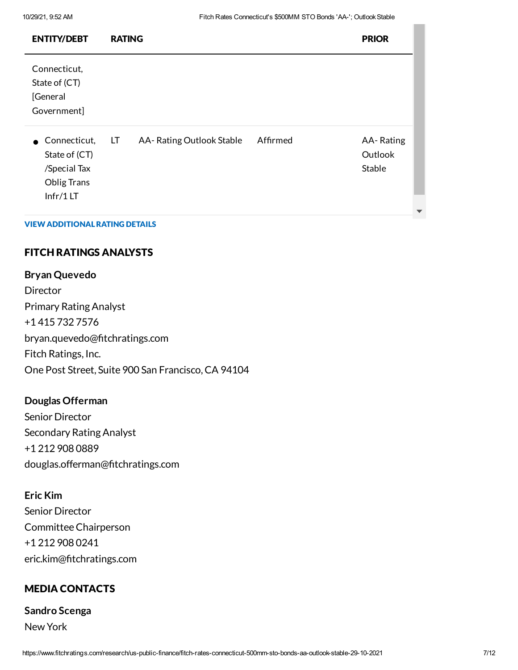| <b>ENTITY/DEBT</b>                                                              | <b>RATING</b>                               | <b>PRIOR</b>                   |
|---------------------------------------------------------------------------------|---------------------------------------------|--------------------------------|
| Connecticut,<br>State of (CT)<br>[General<br>Government]                        |                                             |                                |
| Connecticut,<br>State of (CT)<br>/Special Tax<br><b>Oblig Trans</b><br>lnfr/1LT | Affirmed<br>AA-Rating Outlook Stable<br>LT. | AA-Rating<br>Outlook<br>Stable |

# VIEW ADDITIONALRATING DETAILS

# FITCH RATINGS ANALYSTS

#### **Bryan Quevedo**

**Director** Primary Rating Analyst +1 415 732 7576 bryan.quevedo@fitchratings.com Fitch Ratings, Inc. One Post Street, Suite 900 San Francisco,CA 94104

#### **Douglas Offerman**

Senior Director Secondary Rating Analyst +1 212 908 0889 douglas.offerman@fitchratings.com

#### **Eric Kim**

Senior Director CommitteeChairperson +1 212 908 0241 eric.kim@fitchratings.com

#### MEDIA CONTACTS

**Sandro Scenga** New York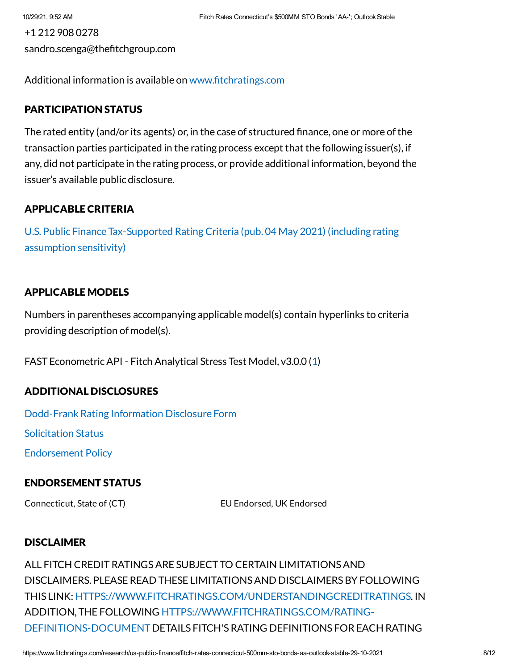+1 212 908 0278 sandro.scenga@thefitchgroup.com

Additional information is available on [www.fitchratings.com](http://www.fitchratings.com/)

#### PARTICIPATION STATUS

The rated entity (and/or its agents) or, in the case of structured finance, one or more of the transaction parties participated in the rating process except that the following issuer(s), if any, did not participate in the rating process, or provide additional information, beyond the issuer's available public disclosure.

#### APPLICABLE CRITERIA

U.S. Public Finance [Tax-Supported](https://www.fitchratings.com/research/us-public-finance/us-public-finance-tax-supported-rating-criteria-04-05-2021) Rating Criteria (pub. 04 May 2021) (including rating assumption sensitivity)

#### APPLICABLE MODELS

Numbers in parentheses accompanying applicable model(s) contain hyperlinks to criteria providing description of model(s).

FAST EconometricAPI - Fitch Analytical Stress Test Model, v3.0.0 ([1\)](https://www.fitchratings.com/research/us-public-finance/us-public-finance-tax-supported-rating-criteria-04-05-2021)

#### ADDITIONAL DISCLOSURES

[Dodd-Frank](https://www.fitchratings.com/research/us-public-finance/fitch-rates-connecticut-500mm-sto-bonds-aa-outlook-stable-29-10-2021/dodd-frank-disclosure) Rating Information Disclosure Form

Solicitation Status

[Endorsement](#page-10-0) Policy

#### ENDORSEMENT STATUS

Connecticut, State of (CT) EU Endorsed, UK Endorsed

#### DISCLAIMER

ALL FITCH CREDITRATINGSARE SUBJECT TO CERTAIN LIMITATIONSAND DISCLAIMERS. PLEASE READ THESE LIMITATIONSAND DISCLAIMERSBY FOLLOWING THIS LINK: [HTTPS://WWW.FITCHRATINGS.COM/UNDERSTANDINGCREDITRATINGS.](https://www.fitchratings.com/UNDERSTANDINGCREDITRATINGS) IN ADDITION, THE FOLLOWING [HTTPS://WWW.FITCHRATINGS.COM/RATING-](https://www.fitchratings.com/rating-definitions-document)DEFINITIONS-DOCUMENT DETAILS FITCH'SRATING DEFINITIONS FOR EACH RATING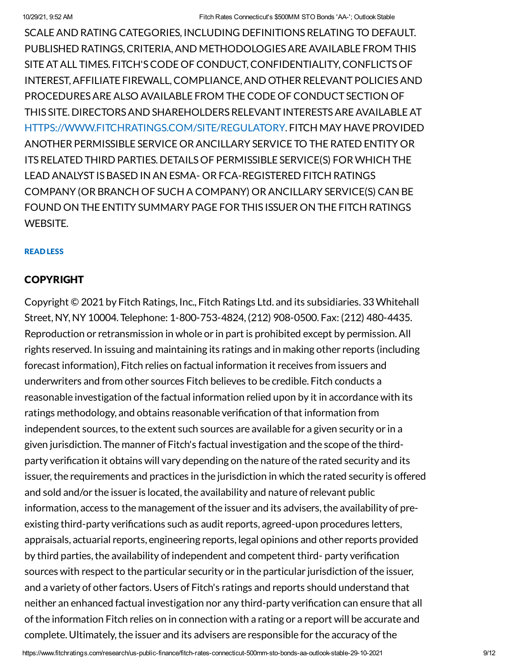SCALE AND RATING CATEGORIES, INCLUDING DEFINITIONS RELATING TO DEFAULT. PUBLISHED RATINGS,CRITERIA,AND METHODOLOGIESAREAVAILABLE FROM THIS SITEATALL TIMES. FITCH'SCODE OF CONDUCT,CONFIDENTIALITY,CONFLICTSOF INTEREST,AFFILIATE FIREWALL,COMPLIANCE,AND OTHER RELEVANT POLICIESAND PROCEDURESAREALSO AVAILABLE FROM THECODE OF CONDUCT SECTION OF THIS SITE. DIRECTORSAND SHAREHOLDERSRELEVANT INTERESTSAREAVAILABLEAT [HTTPS://WWW.FITCHRATINGS.COM/SITE/REGULATORY](https://www.fitchratings.com/site/regulatory). FITCH MAY HAVE PROVIDED ANOTHER PERMISSIBLE SERVICE ORANCILLARY SERVICE TO THE RATED ENTITY OR ITSRELATED THIRD PARTIES. DETAILSOF PERMISSIBLE SERVICE(S) FORWHICH THE LEAD ANALYST ISBASED IN AN ESMA- OR FCA-REGISTERED FITCH RATINGS COMPANY (OR BRANCH OF SUCH A COMPANY) ORANCILLARY SERVICE(S) CAN BE FOUND ON THE ENTITY SUMMARY PAGE FOR THIS ISSUER ON THE FITCH RATINGS WEBSITE.

#### READ LESS

# COPYRIGHT

Copyright © 2021 by Fitch Ratings, Inc., Fitch Ratings Ltd. and its subsidiaries. 33 Whitehall Street, NY, NY 10004. Telephone: 1-800-753-4824, (212) 908-0500. Fax: (212) 480-4435. Reproduction or retransmission in whole or in part is prohibited except by permission.All rights reserved. In issuing and maintaining its ratings and in making other reports (including forecast information), Fitch relies on factual information it receives from issuers and underwriters and from other sources Fitch believes to be credible. Fitch conducts a reasonable investigation of the factual information relied upon by it in accordance with its ratings methodology, and obtains reasonable verification ofthat information from independent sources, to the extent such sources are available for a given security or in a given jurisdiction. The manner of Fitch's factual investigation and the scope of the thirdparty verification it obtains will vary depending on the nature ofthe rated security and its issuer, the requirements and practices in the jurisdiction in which the rated security is offered and sold and/or the issuer is located, the availability and nature of relevant public information, access to the management of the issuer and its advisers, the availability of preexisting third-party verifications such as audit reports, agreed-upon procedures letters, appraisals, actuarial reports, engineering reports, legal opinions and other reports provided by third parties, the availability of independent and competent third- party verification sources with respect to the particular security or in the particular jurisdiction of the issuer, and a variety of other factors. Users of Fitch's ratings and reports should understand that neither an enhanced factual investigation nor any third-party verification can ensure that all ofthe information Fitch relies on in connection with a rating or a report will be accurate and complete. Ultimately, the issuer and its advisers are responsible for the accuracy of the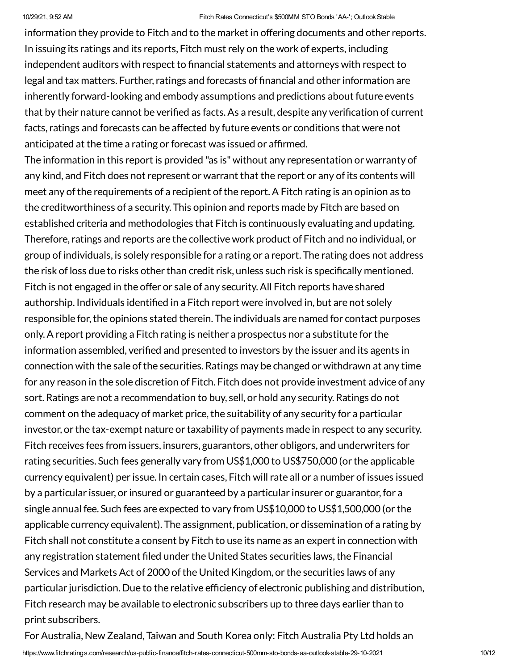information they provide to Fitch and to the market in offering documents and other reports. In issuing its ratings and its reports, Fitch must rely on the work of experts, including independent auditors with respect to financial statements and attorneys with respect to legal and tax matters. Further, ratings and forecasts of financial and other information are inherently forward-looking and embody assumptions and predictions about future events that by their nature cannot be verified as facts.As a result, despite any verification of current facts, ratings and forecasts can be affected by future events or conditions that were not anticipated at the time a rating or forecast was issued or affirmed.

The information in this report is provided "as is" without any representation or warranty of any kind, and Fitch does not represent or warrant that the report or any of its contents will meet any of the requirements of a recipient of the report. A Fitch rating is an opinion as to the creditworthiness of a security. This opinion and reports made by Fitch are based on established criteria and methodologies that Fitch is continuously evaluating and updating. Therefore, ratings and reports are the collective work product of Fitch and no individual, or group ofindividuals, is solely responsible for a rating or a report. The rating does not address the risk ofloss due to risks other than credit risk, unless such risk is specifically mentioned. Fitch is not engaged in the offer or sale of any security.All Fitch reports have shared authorship. Individuals identified in a Fitch report were involved in, but are not solely responsible for, the opinions stated therein. The individuals are named for contact purposes only.A report providing a Fitch rating is neither a prospectus nor a substitute for the information assembled, verified and presented to investors by the issuer and its agents in connection with the sale of the securities. Ratings may be changed or withdrawn at any time for any reason in the sole discretion of Fitch. Fitch does not provide investment advice of any sort. Ratings are not a recommendation to buy, sell, or hold any security. Ratings do not comment on the adequacy of market price, the suitability of any security for a particular investor, or the tax-exempt nature or taxability of payments made in respect to any security. Fitch receives fees from issuers, insurers, guarantors, other obligors, and underwriters for rating securities. Such fees generally vary from US\$1,000 to US\$750,000 (or the applicable currency equivalent) per issue. In certain cases, Fitch will rate all or a number of issues issued by a particular issuer, or insured or guaranteed by a particular insurer or guarantor,for a single annual fee. Such fees are expected to vary from US\$10,000 to US\$1,500,000 (or the applicable currency equivalent). The assignment, publication, or dissemination of a rating by Fitch shall not constitute a consent by Fitch to use its name as an expert in connection with any registration statement filed under the United States securities laws, the Financial Services and Markets Act of 2000 of the United Kingdom, or the securities laws of any particular jurisdiction. Due to the relative efficiency of electronic publishing and distribution, Fitch research may be available to electronic subscribers up to three days earlier than to print subscribers.

https://www.fitchratings.com/research/us-public-finance/fitch-rates-connecticut-500mm-sto-bonds-aa-outlook-stable-29-10-2021 10/12 ForAustralia, New Zealand, Taiwan and South Korea only: Fitch Australia Pty Ltd holds an